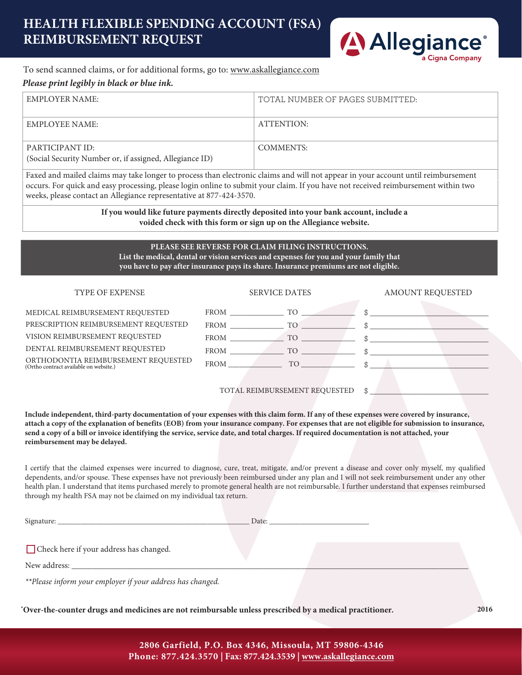# **HEALTH FLEXIBLE SPENDING ACCOUNT (FSA) REIMBURSEMENT REQUEST**



# To send scanned claims, or for additional forms, go to: www.askallegiance.com

### *Please print legibly in black or blue ink.*

| EMPLOYER NAME:                                                             | TOTAL NUMBER OF PAGES SUBMITTED: |
|----------------------------------------------------------------------------|----------------------------------|
| EMPLOYEE NAME:                                                             | ATTENTION:                       |
| PARTICIPANT ID:<br>(Social Security Number or, if assigned, Allegiance ID) | COMMENTS:                        |

Faxed and mailed claims may take longer to process than electronic claims and will not appear in your account until reimbursement occurs. For quick and easy processing, please login online to submit your claim. If you have not received reimbursement within two weeks, please contact an Allegiance representative at 877-424-3570.

> **If you would like future payments directly deposited into your bank account, include a voided check with this form or sign up on the Allegiance website.**

#### **PLEASE SEE REVERSE FOR CLAIM FILING INSTRUCTIONS. List the medical, dental or vision services and expenses for you and your family that**

**you have to pay after insurance pays its share. Insurance premiums are not eligible.**

| <b>TYPE OF EXPENSE</b>                                                        | <b>SERVICE DATES</b>                                                                                                                                                                                                                              | AMOUNT REQUESTED |  |
|-------------------------------------------------------------------------------|---------------------------------------------------------------------------------------------------------------------------------------------------------------------------------------------------------------------------------------------------|------------------|--|
| MEDICAL REIMBURSEMENT REQUESTED                                               | TO <sub>1</sub><br>FROM                                                                                                                                                                                                                           |                  |  |
| PRESCRIPTION REIMBURSEMENT REQUESTED                                          | FROM<br>TO                                                                                                                                                                                                                                        | \$.              |  |
| VISION REIMBURSEMENT REQUESTED                                                | TO <sub>1</sub><br>FROM THE STATE OF THE STATE OF THE STATE OF THE STATE OF THE STATE OF THE STATE OF THE STATE OF THE STATE OF THE STATE OF THE STATE OF THE STATE OF THE STATE OF THE STATE OF THE STATE OF THE STATE OF THE STATE OF THE STATE |                  |  |
| DENTAL REIMBURSEMENT REQUESTED                                                | <b>FROM</b><br>TO                                                                                                                                                                                                                                 |                  |  |
| ORTHODONTIA REIMBURSEMENT REQUESTED<br>(Ortho contract available on website.) | FROM<br>TO                                                                                                                                                                                                                                        |                  |  |
|                                                                               | TOTAL REIMBURSEMENT REQUESTED                                                                                                                                                                                                                     | \$               |  |

**Include independent, third-party documentation of your expenses with this claim form. If any of these expenses were covered by insurance, attach a copy of the explanation of benefits (EOB) from your insurance company. For expenses that are not eligible for submission to insurance, send a copy of a bill or invoice identifying the service, service date, and total charges. If required documentation is not attached, your reimbursement may be delayed.**

I certify that the claimed expenses were incurred to diagnose, cure, treat, mitigate, and/or prevent a disease and cover only myself, my qualified dependents, and/or spouse. These expenses have not previously been reimbursed under any plan and I will not seek reimbursement under any other health plan. I understand that items purchased merely to promote general health are not reimbursable. I further understand that expenses reimbursed through my health FSA may not be claimed on my individual tax return.

| $\sqrt{2}$ | ,我们就会不会不会。""我们,我们就会不会不会不会。""我们,我们就会不会不会不会不会不会不会。""我们,我们就会不会不会不会不会。""我们,我们就会不会不会不 | ,我们也不会有什么?""我们的人,我们也不会有什么?""我们的人,我们也不会有什么?""我们的人,我们也不会有什么?""我们的人,我们也不会有什么?""我们的人 |  |
|------------|----------------------------------------------------------------------------------|----------------------------------------------------------------------------------|--|
|            |                                                                                  |                                                                                  |  |

Check here if your address has changed.

New address:

*\*\*Please inform your employer if your address has changed.*

**\*Over-the-counter drugs and medicines are not reimbursable unless prescribed by a medical practitioner. 2016**